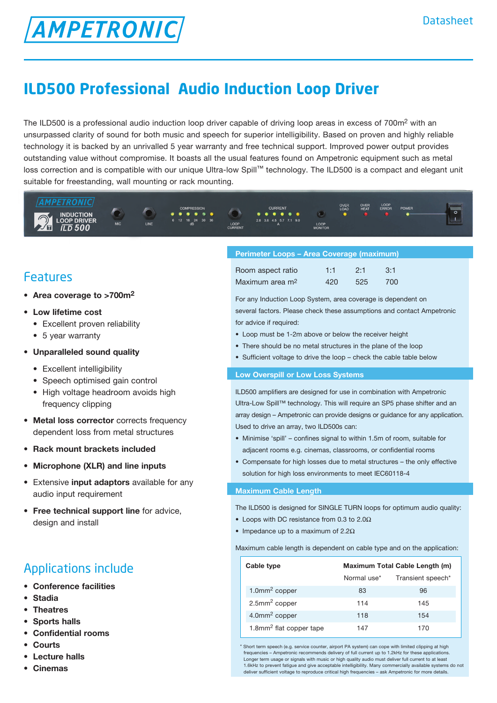# **ILD500 Professional Audio Induction Loop Driver**

The ILD500 is a professional audio induction loop driver capable of driving loop areas in excess of 700m<sup>2</sup> with an unsurpassed clarity of sound for both music and speech for superior intelligibility. Based on proven and highly reliable technology it is backed by an unrivalled 5 year warranty and free technical support. Improved power output provides outstanding value without compromise. It boasts all the usual features found on Ampetronic equipment such as metal loss correction and is compatible with our unique Ultra-low Spill™ technology. The ILD500 is a compact and elegant unit suitable for freestanding, wall mounting or rack mounting.



### Features

- • **Area coverage to >700m2**
- • **Low lifetime cost** 
	- Excellent proven reliability

**AMPETRONIC** 

- 5 year warranty
- **• Unparalleled sound quality**
	- Excellent intelligibility
	- Speech optimised gain control
	- High voltage headroom avoids high frequency clipping
- • **Metal loss corrector** corrects frequency dependent loss from metal structures
- • **Rack mount brackets included**
- **• Microphone (XLR) and line inputs**
- • Extensive **input adaptors** available for any audio input requirement
- • **Free technical support line** for advice, design and install

## Applications include

- **• Conference facilities**
- **• Stadia**
- **• Theatres**
- **• Sports halls**
- **• Confidential rooms**
- **Courts**
- **Lecture** halls
- **• Cinemas**

### **Perimeter Loops – Area Coverage (maximum)**

| Room aspect ratio           | 1:1 | 2:1 | $-3:1$ |
|-----------------------------|-----|-----|--------|
| Maximum area m <sup>2</sup> | 420 | 525 | 700    |

For any Induction Loop System, area coverage is dependent on several factors. Please check these assumptions and contact Ampetronic for advice if required:

- Loop must be 1-2m above or below the receiver height
- There should be no metal structures in the plane of the loop
- Sufficient voltage to drive the loop check the cable table below

### **Low Overspill or Low Loss Systems**

ILD500 amplifiers are designed for use in combination with Ampetronic Ultra-Low Spill™ technology. This will require an SP5 phase shifter and an array design – Ampetronic can provide designs or guidance for any application. Used to drive an array, two ILD500s can:

- Minimise 'spill' confines signal to within 1.5m of room, suitable for adjacent rooms e.g. cinemas, classrooms, or confidential rooms
- Compensate for high losses due to metal structures the only effective solution for high loss environments to meet IEC60118-4

### **Maximum Cable Length**

The ILD500 is designed for SINGLE TURN loops for optimum audio quality:

- Loops with DC resistance from 0.3 to 2.0 $\Omega$
- Impedance up to a maximum of  $2.2\Omega$

Maximum cable length is dependent on cable type and on the application:

| Cable type                          | Maximum Total Cable Length (m) |                   |  |
|-------------------------------------|--------------------------------|-------------------|--|
|                                     | Normal use*                    | Transient speech* |  |
| 1.0 $mm2 copper$                    | 83                             | 96                |  |
| $2.5$ mm <sup>2</sup> copper        | 114                            | 145               |  |
| $4.0$ mm <sup>2</sup> copper        | 118                            | 154               |  |
| 1.8mm <sup>2</sup> flat copper tape | 147                            | 170               |  |

\* Short term speech (e.g. service counter, airport PA system) can cope with limited clipping at high frequencies – Ampetronic recommends delivery of full current up to 1.2kHz for these application Longer term usage or signals with music or high quality audio must deliver full current to at least 1.6kHz to prevent fatigue and give acceptable intelligibility. Many commercially available systems do not deliver sufficient voltage to reproduce critical high frequencies – ask Ampetronic for more details.